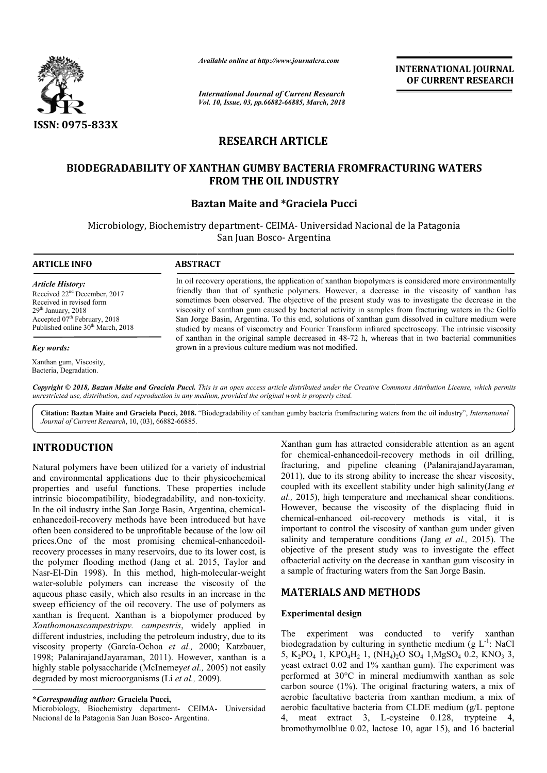

*Available online at http://www.journalcra.com*

*International Journal of Current Research Vol. 10, Issue, 03, pp.66882-66885, March, 2018*

**INTERNATIONAL JOURNAL OF CURRENT RESEARCH**

# **RESEARCH ARTICLE**

# **BIODEGRADABILITY OF XANTHAN GUMBY BACTERIA FROMFRACTURING WATERS FROMFRACTURING WATERS FROM THE OIL INDUSTRY**

# **Baztan Maite and \*Graciela Pucci**

Microbiology, Biochemistry department- CEIMA- Universidad Nacional de la Patagonia San Juan Bosco- Argentina

## **ARTICLE INFO ABSTRACT**

*Article History:* Received 22nd December, 2017 Received in revised form  $29<sup>th</sup>$  January,  $2018$ Accepted  $07<sup>th</sup>$  February, 2018 Published online 30<sup>th</sup> March, 2018

### *Key words:*

Xanthan gum, Viscosity, Bacteria, Degradation.

In oil recovery operations, the application of xanthan biopolymers is considered more environmentally friendly than that of synthetic polymers. However, a decrease in the viscosity of xanthan has sometimes been observed. The objective of the present study was to investigate the decrease in the viscosity of xanthan gum caused by bacterial activity in samples from San Jorge Basin, Argentina. To this end, solutions of xanthan gum dissolved in culture medium were San Jorge Basin, Argentina. To this end, solutions of xanthan gum dissolved in culture medium were<br>studied by means of viscometry and Fourier Transform infrared spectroscopy. The intrinsic viscosity of xanthan in the original sample decreased in 48-72 h, whereas that in two bacterial communities grown in a previous culture medium was not modified. In oil recovery operations, the application of xanthan biopolymers is considered more environmentally<br>friendly than that of synthetic polymers. However, a decrease in the viscosity of xanthan has<br>sometimes been observed. T

Copyright © 2018, Baztan Maite and Graciela Pucci. This is an open access article distributed under the Creative Commons Attribution License, which permits *unrestricted use, distribution, and reproduction in any medium, provided the original work is properly cited.*

Citation: Baztan Maite and Graciela Pucci, 2018. "Biodegradability of xanthan gumby bacteria fromfracturing waters from the oil industry", *International Journal of Current Research*, 10, (03), 66882-66885.

# **INTRODUCTION**

Natural polymers have been utilized for a variety of industrial and environmental applications due to their physicochemical properties and useful functions. These properties include intrinsic biocompatibility, biodegradability, and non-toxicity. In the oil industry inthe San Jorge Basin, Argentina, chemicalenhancedoil-recovery methods have been introduced but have often been considered to be unprofitable because of the low oil enhancedoil-recovery methods have been introduced but have often been considered to be unprofitable because of the low oil prices.One of the most promising chemical-enhancedoilrecovery processes in many reservoirs, due to its lower cost, is the polymer flooding method (Jang et al. 2015, Taylor and Nasr-El-Din 1998). In this method, high-molecular-weight water-soluble polymers can increase the viscosity of the aqueous phase easily, which also results in an increase in the sweep efficiency of the oil recovery. The use of polymers as xanthan is frequent. Xanthan is a biopolymer produced by *Xanthomonascampestrispv. campestris*, widely applied in different industries, including the petroleum industry, due to its viscosity property (García-Ochoa *et al.,*  1998; PalanirajandJayaraman, 2011). However, xanthan is a highly stable polysaccharide (McInerney*et al.,*  2005) not easily degraded by most microorganisms (Li *et al.,*  2009). vater-soluble polymers can increase the viscosity of the queous phase easily, which also results in an increase in the weep efficiency of the oil recovery. The use of polymers as anthan is frequent. Xanthan is a biopolymer Xanthan gum has attracted considerable attention as an agent for chemical-enhancedoil-recovery methods in oil drilling, fracturing, and pipeline cleaning (PalanirajandJayaraman, 2011), due to its strong ability to increase the shear viscosity, for chemical-enhancedoil-recovery methods in oil drilling, fracturing, and pipeline cleaning (PalanirajandJayaraman, 2011), due to its strong ability to increase the shear viscosity, coupled with its excellent stability un *al.,* 2015), high temperature and mechanical shear conditions. However, because the viscosity of the displacing fluid in chemical-enhanced oil-recovery methods is vital, it is important to control the viscosity of xanthan gum under given However, because the viscosity of the displacing fluid in chemical-enhanced oil-recovery methods is vital, it is important to control the viscosity of xanthan gum under given salinity and temperature conditions (Jang *et a* objective of the present study was to investigate the effect ofbacterial activity on the decrease in xanthan gum viscosity in a sample of fracturing waters from the San Jorge Basin. of the present study was to investigate the decrease in xanthan gum viscof fracturing waters from the San Jorge Basin. **INTERNATIONAL JOURNAL OF CURRENT RESEARCH CONTINUME ASSEMBATE AND AND AND INTERSEARCH AND INSERVED INTERSEARCH (SURFACTURING WATERS is interesting the decrease in the viscosity of xanthan has undug was to investigate the** 

# **MATERIALS AND METHODS METHODS**

#### **Experimental design**

The experiment was conducted to verify xanthan biodegradation by culturing in synthetic medium (g  $L^{-1}$ : NaCl 5, K<sub>2</sub>PO<sub>4</sub> 1, KPO<sub>4</sub>H<sub>2</sub> 1, (NH<sub>4</sub>)<sub>2</sub>O SO<sub>4</sub> 1, MgSO<sub>4</sub> 0.2, KNO<sub>3</sub> 3, yeast extract 0.02 and 1% xanthan gum). The experiment was performed at 30°C in mineral mediumwith xanthan as sole carbon source (1%). The original fracturing waters, a mix of aerobic facultative bacteria from xanthan medium, a mix of yeast extract 0.02 and 1% xanthan gum). The experiment was performed at 30°C in mineral mediumwith xanthan as sole carbon source (1%). The original fracturing waters, a mix of aerobic facultative bacteria from cLDE medium 4, meat extract 3, L-cysteine 0.128, trypteine 4, bromothymolblue 0.02, lactose 10, agar 15), and 16 bacterial

**<sup>\*</sup>***Corresponding author:* **Graciela Pucci,**

Microbiology, Biochemistry department- CEIMA CEIMA- Universidad Nacional de la Patagonia San Juan Bosco- Argentina.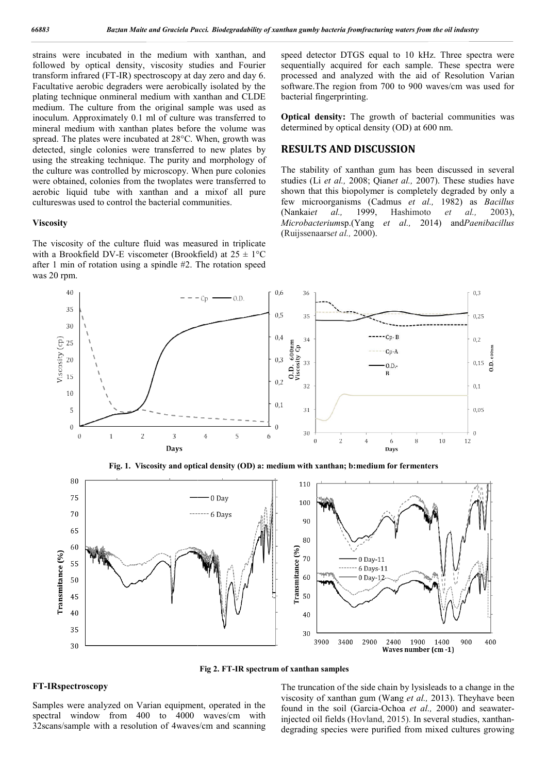strains were incubated in the medium with xanthan, and followed by optical density, viscosity studies and Fourier transform infrared (FT-IR) spectroscopy at day zero and day 6. Facultative aerobic degraders were aerobically isolated by the plating technique onmineral medium with xanthan and CLDE medium. The culture from the original sample was used as inoculum. Approximately 0.1 ml of culture was transferred to mineral medium with xanthan plates before the volume was spread. The plates were incubated at 28°C. When, growth was detected, single colonies were transferred to new plates by using the streaking technique. The purity and morphology of the culture was controlled by microscopy. When pure colonies were obtained, colonies from the twoplates were transferred to aerobic liquid tube with xanthan and a mixof all pure cultureswas used to control the bacterial communities. IR) spectroscopy at day zero and day 6.<br>graders were aerobically isolated by the<br>neral medium with xanthan and CLDE<br>from the original sample was used as<br>aly 0.1 ml of culture was transferred to<br>xanthan plates before the vo

#### **Viscosity**

The viscosity of the culture fluid was measured in triplicate with a Brookfield DV-E viscometer (Brookfield) at  $25 \pm 1$ °C after 1 min of rotation using a spindle #2. The rotation speed was 20 rpm.

speed detector DTGS equal to 10 kHz. Three spectra were speed detector DTGS equal to 10 kHz. Three spectra were sequentially acquired for each sample. These spectra were processed and analyzed with the aid of Resolution Varian software.The region from 700 to 900 waves/cm was used for bacterial fingerprinting. processed and analyzed with the aid of Resol<br>software. The region from 700 to 900 waves/cm<br>bacterial fingerprinting.<br>**Optical density:** The growth of bacterial com<br>determined by optical density (OD) at 600 nm.

**Optical density:** The growth of bacterial communities was determined by optical density (OD) at 600 nm.

# **RESULTS AND DISCUSSION**

The stability of xanthan gum has been discussed in several The stability of xanthan gum has been discussed in several studies (Li *et al.*, 2008; Qian*et al.*, 2007). These studies have shown that this biopolymer is completely degraded by only a shown that this biopolymer is completely degraded by only a<br>few microorganisms (Cadmus *et al.*, 1982) as *Bacillus* (Nankai*et al.,* 1999, Hashimoto Hashimoto *et al.,* 2003), *Microbacterium*sp.(Yang *et al.,*  2014) and*Paenibacillus* (Ruijssenaars*et al.,* 2000).





**Fig 2. FT-IR spectrum of xanthan samples**

### **FT-IRspectroscopy**

Samples were analyzed on Varian equipment, operated in the spectral window from 400 to 4000 waves/cm with 32scans/sample with a resolution of 4waves/cm and scanning The truncation of the side chain by lysisleads to a change in the The truncation of the side chain by lysisleads to a change in the viscosity of xanthan gum (Wang *et al.*, 2013). Theyhave been found in the soil (Garcia-Ochoa et al., 2000) and seawaterinjected oil fields (Hovland, 2015). In several studies, xanthandegrading species were purified from mixed cultures growing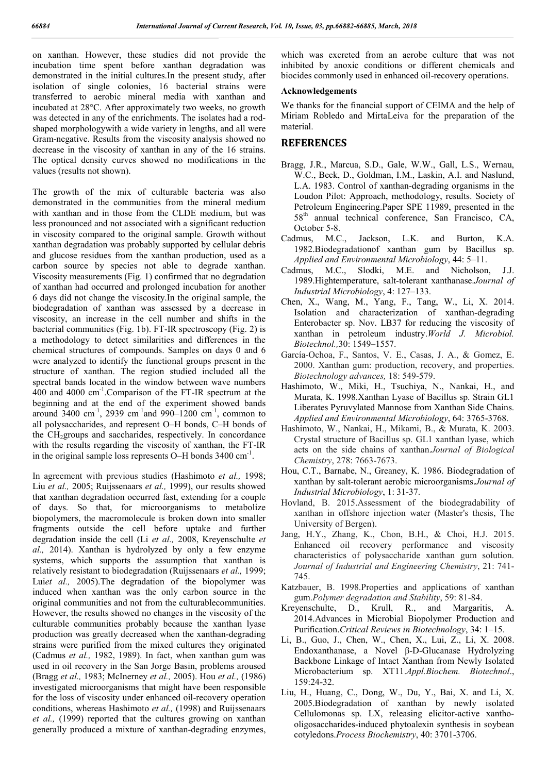on xanthan. However, these studies did not provide the incubation time spent before xanthan degradation was demonstrated in the initial cultures.In the present study, after isolation of single colonies, 16 bacterial strains were transferred to aerobic mineral media with xanthan and incubated at 28°C. After approximately two weeks, no growth was detected in any of the enrichments. The isolates had a rodshaped morphologywith a wide variety in lengths, and all were Gram-negative. Results from the viscosity analysis showed no decrease in the viscosity of xanthan in any of the 16 strains. The optical density curves showed no modifications in the values (results not shown).

The growth of the mix of culturable bacteria was also demonstrated in the communities from the mineral medium with xanthan and in those from the CLDE medium, but was less pronounced and not associated with a significant reduction in viscosity compared to the original sample. Growth without xanthan degradation was probably supported by cellular debris and glucose residues from the xanthan production, used as a carbon source by species not able to degrade xanthan. Viscosity measurements (Fig. 1) confirmed that no degradation of xanthan had occurred and prolonged incubation for another 6 days did not change the viscosity.In the original sample, the biodegradation of xanthan was assessed by a decrease in viscosity, an increase in the cell number and shifts in the bacterial communities (Fig. 1b). FT-IR spectroscopy (Fig. 2) is a methodology to detect similarities and differences in the chemical structures of compounds. Samples on days 0 and 6 were analyzed to identify the functional groups present in the structure of xanthan. The region studied included all the spectral bands located in the window between wave numbers 400 and 4000 cm-1 .Comparison of the FT-IR spectrum at the beginning and at the end of the experiment showed bands around  $3400 \text{ cm}^{-1}$ , 2939 cm<sup>-1</sup> and 990–1200 cm<sup>-1</sup>, common to all polysaccharides, and represent O–H bonds, C–H bonds of the  $CH<sub>2</sub>$ groups and saccharides, respectively. In concordance with the results regarding the viscosity of xanthan, the FT-IR in the original sample loss represents  $O-H$  bonds 3400 cm<sup>-1</sup>.

In agreement with previous studies (Hashimoto *et al.,* 1998; Liu *et al.,* 2005; Ruijssenaars *et al.,* 1999), our results showed that xanthan degradation occurred fast, extending for a couple of days. So that, for microorganisms to metabolize biopolymers, the macromolecule is broken down into smaller fragments outside the cell before uptake and further degradation inside the cell (Li *et al.,* 2008, Kreyenschulte *et al.,* 2014). Xanthan is hydrolyzed by only a few enzyme systems, which supports the assumption that xanthan is relatively resistant to biodegradation (Ruijssenaars *et al.,* 1999; Lui*et al.,* 2005).The degradation of the biopolymer was induced when xanthan was the only carbon source in the original communities and not from the culturablecommunities. However, the results showed no changes in the viscosity of the culturable communities probably because the xanthan lyase production was greatly decreased when the xanthan-degrading strains were purified from the mixed cultures they originated (Cadmus *et al.,* 1982, 1989). In fact, when xanthan gum was used in oil recovery in the San Jorge Basin, problems aroused (Bragg *et al.,* 1983; McInerney *et al.,* 2005). Hou *et al.,* (1986) investigated microorganisms that might have been responsible for the loss of viscosity under enhanced oil-recovery operation conditions, whereas Hashimoto *et al.,* (1998) and Ruijssenaars *et al.,* (1999) reported that the cultures growing on xanthan generally produced a mixture of xanthan-degrading enzymes,

which was excreted from an aerobe culture that was not inhibited by anoxic conditions or different chemicals and biocides commonly used in enhanced oil-recovery operations.

#### **Acknowledgements**

We thanks for the financial support of CEIMA and the help of Miriam Robledo and MirtaLeiva for the preparation of the material.

# **REFERENCES**

- Bragg, J.R., Marcua, S.D., Gale, W.W., Gall, L.S., Wernau, W.C., Beck, D., Goldman, I.M., Laskin, A.I. and Naslund, L.A. 1983. Control of xanthan-degrading organisms in the Loudon Pilot: Approach, methodology, results. Society of Petroleum Engineering.Paper SPE 11989, presented in the 58<sup>th</sup> annual technical conference, San Francisco, CA, October 5-8.<br>Cadmus, M.C.,
- Jackson, L.K. and Burton, K.A. 1982.Biodegradationof xanthan gum by Bacillus sp. *Applied and Environmental Microbiology*, 44: 5–11.
- Cadmus, M.C., Slodki, M.E. and Nicholson, J.J. 1989.Hightemperature, salt-tolerant xanthanase.*Journal of Industrial Microbiology*, 4: 127–133.
- Chen, X., Wang, M., Yang, F., Tang, W., Li, X. 2014. Isolation and characterization of xanthan-degrading Enterobacter sp. Nov. LB37 for reducing the viscosity of xanthan in petroleum industry.*World J. Microbiol. Biotechnol.,*30: 1549–1557.
- García-Ochoa, F., Santos, V. E., Casas, J. A., & Gomez, E. 2000. Xanthan gum: production, recovery, and properties. *Biotechnology advances,* 18: 549-579.
- Hashimoto, W., Miki, H., Tsuchiya, N., Nankai, H., and Murata, K. 1998.Xanthan Lyase of Bacillus sp. Strain GL1 Liberates Pyruvylated Mannose from Xanthan Side Chains. *Applied and Environmental Microbiology*, 64: 3765-3768.
- Hashimoto, W., Nankai, H., Mikami, B., & Murata, K. 2003. Crystal structure of Bacillus sp. GL1 xanthan lyase, which acts on the side chains of xanthan.*Journal of Biological Chemistry*, 278: 7663-7673.
- Hou, C.T., Barnabe, N., Greaney, K. 1986. Biodegradation of xanthan by salt-tolerant aerobic microorganisms.*Journal of Industrial Microbiology*, 1: 31-37.
- Hovland, B. 2015.Assessment of the biodegradability of xanthan in offshore injection water (Master's thesis, The University of Bergen).
- Jang, H.Y., Zhang, K., Chon, B.H., & Choi, H.J. 2015. Enhanced oil recovery performance and viscosity characteristics of polysaccharide xanthan gum solution. *Journal of Industrial and Engineering Chemistry*, 21: 741- 745.
- Katzbauer, B. 1998.Properties and applications of xanthan gum.*Polymer degradation and Stability*, 59: 81-84.
- Kreyenschulte, D., Krull, R., and Margaritis, A. 2014.Advances in Microbial Biopolymer Production and Purification.*Critical Reviews in Biotechnology*, 34: 1–15.
- Li, B., Guo, J., Chen, W., Chen, X., Lui, Z., Li, X. 2008. Endoxanthanase, a Novel β-D-Glucanase Hydrolyzing Backbone Linkage of Intact Xanthan from Newly Isolated Microbacterium sp. XT11.*Appl.Biochem. Biotechnol*., 159:24-32.
- Liu, H., Huang, C., Dong, W., Du, Y., Bai, X. and Li, X. 2005.Biodegradation of xanthan by newly isolated Cellulomonas sp. LX, releasing elicitor-active xanthooligosaccharides-induced phytoalexin synthesis in soybean cotyledons.*Process Biochemistry*, 40: 3701-3706.